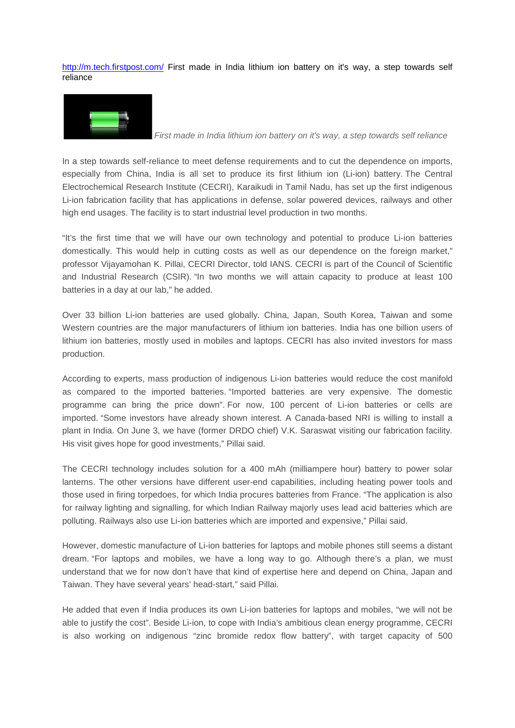<http://m.tech.firstpost.com/> First made in India lithium ion battery on it's way, a step towards self reliance



*First made in India lithium ion battery on it's way, a step towards self reliance*

In a step towards self-reliance to meet defense requirements and to cut the dependence on imports, especially from China, India is all set to produce its first lithium ion (Li-ion) battery. The Central Electrochemical Research Institute (CECRI), Karaikudi in Tamil Nadu, has set up the first indigenous Li-ion fabrication facility that has applications in defense, solar powered devices, railways and other high end usages. The facility is to start industrial level production in two months.

"It's the first time that we will have our own technology and potential to produce Li-ion batteries domestically. This would help in cutting costs as well as our dependence on the foreign market," professor Vijayamohan K. Pillai, CECRI Director, told IANS. CECRI is part of the Council of Scientific and Industrial Research (CSIR). "In two months we will attain capacity to produce at least 100 batteries in a day at our lab," he added.

Over 33 billion Li-ion batteries are used globally. China, Japan, South Korea, Taiwan and some Western countries are the major manufacturers of lithium ion batteries. India has one billion users of lithium ion batteries, mostly used in mobiles and laptops. CECRI has also invited investors for mass production.

According to experts, mass production of indigenous Li-ion batteries would reduce the cost manifold as compared to the imported batteries. "Imported batteries are very expensive. The domestic programme can bring the price down". For now, 100 percent of Li-ion batteries or cells are imported. "Some investors have already shown interest. A Canada-based NRI is willing to install a plant in India. On June 3, we have (former DRDO chief) V.K. Saraswat visiting our fabrication facility. His visit gives hope for good investments," Pillai said.

The CECRI technology includes solution for a 400 mAh (milliampere hour) battery to power solar lanterns. The other versions have different user-end capabilities, including heating power tools and those used in firing torpedoes, for which India procures batteries from France. "The application is also for railway lighting and signalling, for which Indian Railway majorly uses lead acid batteries which are polluting. Railways also use Li-ion batteries which are imported and expensive," Pillai said.

However, domestic manufacture of Li-ion batteries for laptops and mobile phones still seems a distant dream. "For laptops and mobiles, we have a long way to go. Although there's a plan, we must understand that we for now don't have that kind of expertise here and depend on China, Japan and Taiwan. They have several years' head-start," said Pillai.

He added that even if India produces its own Li-ion batteries for laptops and mobiles, "we will not be able to justify the cost". Beside Li-ion, to cope with India's ambitious clean energy programme, CECRI is also working on indigenous "zinc bromide redox flow battery", with target capacity of 500